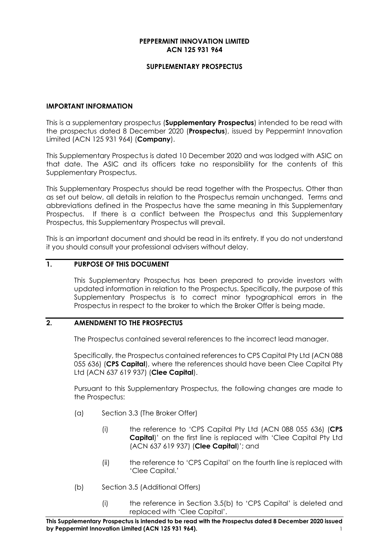#### **PEPPERMINT INNOVATION LIMITED ACN 125 931 964**

## **SUPPLEMENTARY PROSPECTUS**

#### **IMPORTANT INFORMATION**

This is a supplementary prospectus (**Supplementary Prospectus**) intended to be read with the prospectus dated 8 December 2020 (**Prospectus**), issued by Peppermint Innovation Limited (ACN 125 931 964) (**Company**).

This Supplementary Prospectus is dated 10 December 2020 and was lodged with ASIC on that date. The ASIC and its officers take no responsibility for the contents of this Supplementary Prospectus.

This Supplementary Prospectus should be read together with the Prospectus. Other than as set out below, all details in relation to the Prospectus remain unchanged. Terms and abbreviations defined in the Prospectus have the same meaning in this Supplementary Prospectus. If there is a conflict between the Prospectus and this Supplementary Prospectus, this Supplementary Prospectus will prevail.

This is an important document and should be read in its entirety. If you do not understand it you should consult your professional advisers without delay.

# **1. PURPOSE OF THIS DOCUMENT**

This Supplementary Prospectus has been prepared to provide investors with updated information in relation to the Prospectus. Specifically, the purpose of this Supplementary Prospectus is to correct minor typographical errors in the Prospectus in respect to the broker to which the Broker Offer is being made.

# **2. AMENDMENT TO THE PROSPECTUS**

The Prospectus contained several references to the incorrect lead manager.

Specifically, the Prospectus contained references to CPS Capital Pty Ltd (ACN 088 055 636) (**CPS Capital**), where the references should have been Clee Capital Pty Ltd (ACN 637 619 937) (**Clee Capital**).

Pursuant to this Supplementary Prospectus, the following changes are made to the Prospectus:

- (a) Section 3.3 (The Broker Offer)
	- (i) the reference to 'CPS Capital Pty Ltd (ACN 088 055 636) (**CPS Capital**)' on the first line is replaced with 'Clee Capital Pty Ltd (ACN 637 619 937) (**Clee Capital**)'; and
	- (ii) the reference to 'CPS Capital' on the fourth line is replaced with 'Clee Capital.'
- (b) Section 3.5 (Additional Offers)
	- (i) the reference in Section 3.5(b) to 'CPS Capital' is deleted and replaced with 'Clee Capital'.